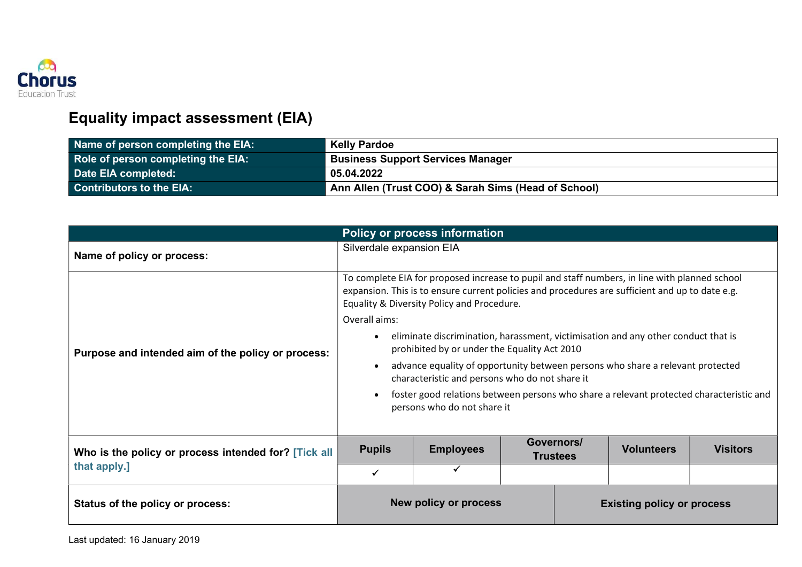

## Equality impact assessment (EIA)

| Name of person completing the EIA: | <b>Kelly Pardoe</b>                                 |
|------------------------------------|-----------------------------------------------------|
| Role of person completing the EIA: | <b>Business Support Services Manager</b>            |
| Date EIA completed:                | 05.04.2022                                          |
| <b>Contributors to the EIA:</b>    | Ann Allen (Trust COO) & Sarah Sims (Head of School) |

| <b>Policy or process information</b>                                 |                                                                                                                                                                                                                                                                                                                                                                                                                                                                                                                                                                                                                                                                                 |                          |  |                               |                   |                 |
|----------------------------------------------------------------------|---------------------------------------------------------------------------------------------------------------------------------------------------------------------------------------------------------------------------------------------------------------------------------------------------------------------------------------------------------------------------------------------------------------------------------------------------------------------------------------------------------------------------------------------------------------------------------------------------------------------------------------------------------------------------------|--------------------------|--|-------------------------------|-------------------|-----------------|
| Name of policy or process:                                           |                                                                                                                                                                                                                                                                                                                                                                                                                                                                                                                                                                                                                                                                                 | Silverdale expansion EIA |  |                               |                   |                 |
| Purpose and intended aim of the policy or process:                   | To complete EIA for proposed increase to pupil and staff numbers, in line with planned school<br>expansion. This is to ensure current policies and procedures are sufficient and up to date e.g.<br>Equality & Diversity Policy and Procedure.<br>Overall aims:<br>eliminate discrimination, harassment, victimisation and any other conduct that is<br>prohibited by or under the Equality Act 2010<br>advance equality of opportunity between persons who share a relevant protected<br>$\bullet$<br>characteristic and persons who do not share it<br>foster good relations between persons who share a relevant protected characteristic and<br>persons who do not share it |                          |  |                               |                   |                 |
| Who is the policy or process intended for? [Tick all<br>that apply.] | <b>Pupils</b>                                                                                                                                                                                                                                                                                                                                                                                                                                                                                                                                                                                                                                                                   | <b>Employees</b>         |  | Governors/<br><b>Trustees</b> | <b>Volunteers</b> | <b>Visitors</b> |
|                                                                      | ✓                                                                                                                                                                                                                                                                                                                                                                                                                                                                                                                                                                                                                                                                               |                          |  |                               |                   |                 |
| Status of the policy or process:                                     | New policy or process<br><b>Existing policy or process</b>                                                                                                                                                                                                                                                                                                                                                                                                                                                                                                                                                                                                                      |                          |  |                               |                   |                 |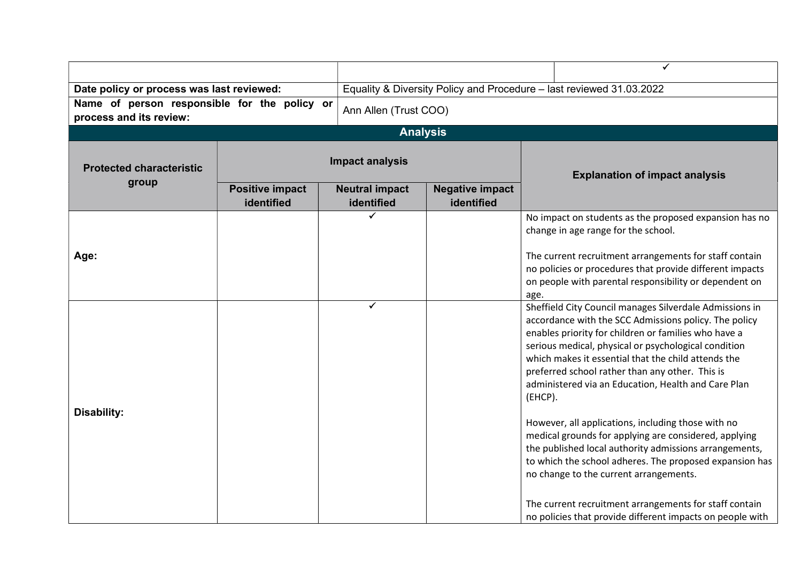|                                                                                                  |                                      |                                     |                                                                      | ✓                                                                                                                                                                                                                                                                                                                                                                                                                                                                                                                                                                                                                                                                                                                                                                                                                 |  |
|--------------------------------------------------------------------------------------------------|--------------------------------------|-------------------------------------|----------------------------------------------------------------------|-------------------------------------------------------------------------------------------------------------------------------------------------------------------------------------------------------------------------------------------------------------------------------------------------------------------------------------------------------------------------------------------------------------------------------------------------------------------------------------------------------------------------------------------------------------------------------------------------------------------------------------------------------------------------------------------------------------------------------------------------------------------------------------------------------------------|--|
| Date policy or process was last reviewed:                                                        |                                      |                                     | Equality & Diversity Policy and Procedure - last reviewed 31.03.2022 |                                                                                                                                                                                                                                                                                                                                                                                                                                                                                                                                                                                                                                                                                                                                                                                                                   |  |
| Name of person responsible for the policy or<br>Ann Allen (Trust COO)<br>process and its review: |                                      |                                     |                                                                      |                                                                                                                                                                                                                                                                                                                                                                                                                                                                                                                                                                                                                                                                                                                                                                                                                   |  |
|                                                                                                  |                                      | <b>Analysis</b>                     |                                                                      |                                                                                                                                                                                                                                                                                                                                                                                                                                                                                                                                                                                                                                                                                                                                                                                                                   |  |
| <b>Protected characteristic</b><br>group                                                         |                                      | <b>Impact analysis</b>              |                                                                      | <b>Explanation of impact analysis</b>                                                                                                                                                                                                                                                                                                                                                                                                                                                                                                                                                                                                                                                                                                                                                                             |  |
|                                                                                                  | <b>Positive impact</b><br>identified | <b>Neutral impact</b><br>identified | <b>Negative impact</b><br>identified                                 |                                                                                                                                                                                                                                                                                                                                                                                                                                                                                                                                                                                                                                                                                                                                                                                                                   |  |
|                                                                                                  |                                      |                                     |                                                                      | No impact on students as the proposed expansion has no<br>change in age range for the school.                                                                                                                                                                                                                                                                                                                                                                                                                                                                                                                                                                                                                                                                                                                     |  |
| Age:                                                                                             |                                      |                                     |                                                                      | The current recruitment arrangements for staff contain<br>no policies or procedures that provide different impacts<br>on people with parental responsibility or dependent on<br>age.                                                                                                                                                                                                                                                                                                                                                                                                                                                                                                                                                                                                                              |  |
| <b>Disability:</b>                                                                               |                                      | ✔                                   |                                                                      | Sheffield City Council manages Silverdale Admissions in<br>accordance with the SCC Admissions policy. The policy<br>enables priority for children or families who have a<br>serious medical, physical or psychological condition<br>which makes it essential that the child attends the<br>preferred school rather than any other. This is<br>administered via an Education, Health and Care Plan<br>(EHCP).<br>However, all applications, including those with no<br>medical grounds for applying are considered, applying<br>the published local authority admissions arrangements,<br>to which the school adheres. The proposed expansion has<br>no change to the current arrangements.<br>The current recruitment arrangements for staff contain<br>no policies that provide different impacts on people with |  |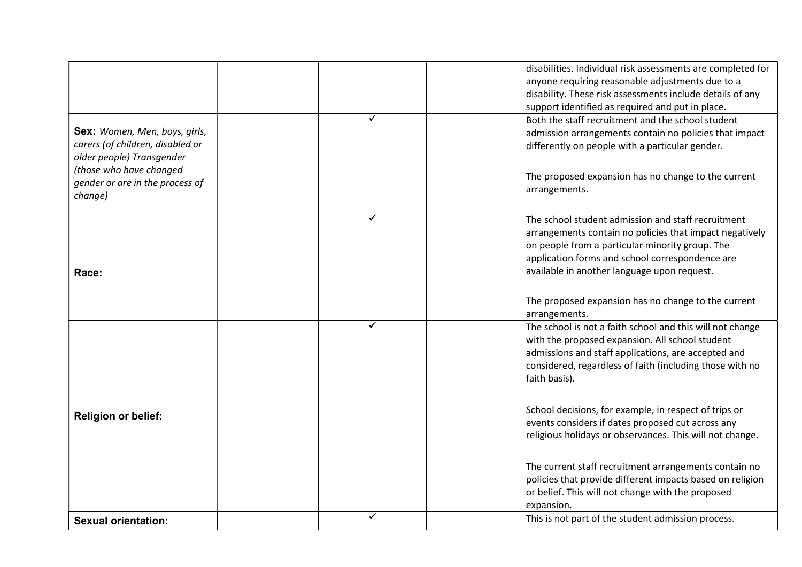|                                  |   |               | disabilities. Individual risk assessments are completed for |
|----------------------------------|---|---------------|-------------------------------------------------------------|
|                                  |   |               | anyone requiring reasonable adjustments due to a            |
|                                  |   |               | disability. These risk assessments include details of any   |
|                                  |   |               | support identified as required and put in place.            |
|                                  | ✓ |               | Both the staff recruitment and the school student           |
| Sex: Women, Men, boys, girls,    |   |               | admission arrangements contain no policies that impact      |
| carers (of children, disabled or |   |               | differently on people with a particular gender.             |
| older people) Transgender        |   |               |                                                             |
| (those who have changed          |   |               | The proposed expansion has no change to the current         |
| gender or are in the process of  |   | arrangements. |                                                             |
| change)                          |   |               |                                                             |
|                                  | ✓ |               | The school student admission and staff recruitment          |
|                                  |   |               | arrangements contain no policies that impact negatively     |
|                                  |   |               | on people from a particular minority group. The             |
|                                  |   |               | application forms and school correspondence are             |
| Race:                            |   |               | available in another language upon request.                 |
|                                  |   |               |                                                             |
|                                  |   |               | The proposed expansion has no change to the current         |
|                                  |   | arrangements. |                                                             |
|                                  | ✓ |               | The school is not a faith school and this will not change   |
|                                  |   |               | with the proposed expansion. All school student             |
|                                  |   |               | admissions and staff applications, are accepted and         |
|                                  |   |               | considered, regardless of faith (including those with no    |
|                                  |   | faith basis). |                                                             |
|                                  |   |               |                                                             |
|                                  |   |               | School decisions, for example, in respect of trips or       |
| <b>Religion or belief:</b>       |   |               | events considers if dates proposed cut across any           |
|                                  |   |               | religious holidays or observances. This will not change.    |
|                                  |   |               |                                                             |
|                                  |   |               | The current staff recruitment arrangements contain no       |
|                                  |   |               | policies that provide different impacts based on religion   |
|                                  |   |               | or belief. This will not change with the proposed           |
|                                  |   | expansion.    |                                                             |
| <b>Sexual orientation:</b>       | ✓ |               | This is not part of the student admission process.          |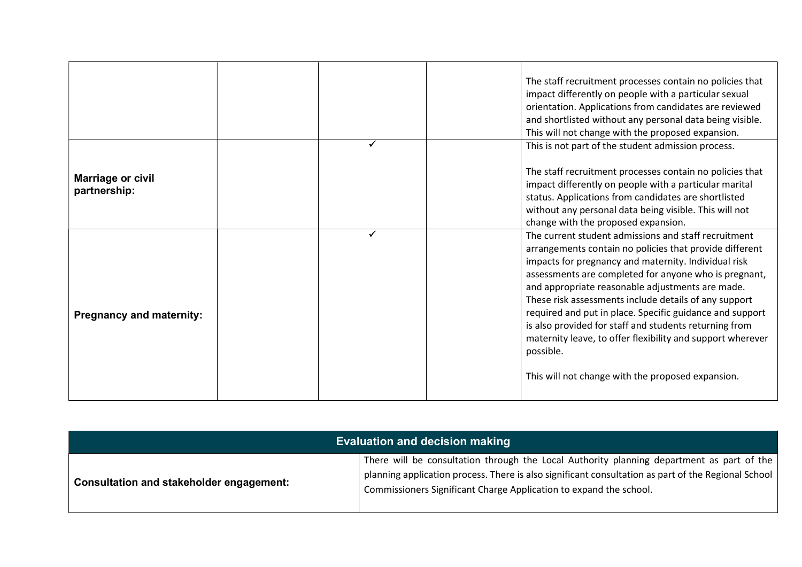|                                   |   | The staff recruitment processes contain no policies that<br>impact differently on people with a particular sexual<br>orientation. Applications from candidates are reviewed<br>and shortlisted without any personal data being visible.<br>This will not change with the proposed expansion.                                                                                                                                                                                                                                                                                                        |
|-----------------------------------|---|-----------------------------------------------------------------------------------------------------------------------------------------------------------------------------------------------------------------------------------------------------------------------------------------------------------------------------------------------------------------------------------------------------------------------------------------------------------------------------------------------------------------------------------------------------------------------------------------------------|
| Marriage or civil<br>partnership: |   | This is not part of the student admission process.<br>The staff recruitment processes contain no policies that<br>impact differently on people with a particular marital<br>status. Applications from candidates are shortlisted<br>without any personal data being visible. This will not<br>change with the proposed expansion.                                                                                                                                                                                                                                                                   |
| <b>Pregnancy and maternity:</b>   | ✓ | The current student admissions and staff recruitment<br>arrangements contain no policies that provide different<br>impacts for pregnancy and maternity. Individual risk<br>assessments are completed for anyone who is pregnant,<br>and appropriate reasonable adjustments are made.<br>These risk assessments include details of any support<br>required and put in place. Specific guidance and support<br>is also provided for staff and students returning from<br>maternity leave, to offer flexibility and support wherever<br>possible.<br>This will not change with the proposed expansion. |

| <b>Evaluation and decision making</b>    |                                                                                                                                                                                                                                                                        |  |  |
|------------------------------------------|------------------------------------------------------------------------------------------------------------------------------------------------------------------------------------------------------------------------------------------------------------------------|--|--|
| Consultation and stakeholder engagement: | There will be consultation through the Local Authority planning department as part of the<br>planning application process. There is also significant consultation as part of the Regional School<br>Commissioners Significant Charge Application to expand the school. |  |  |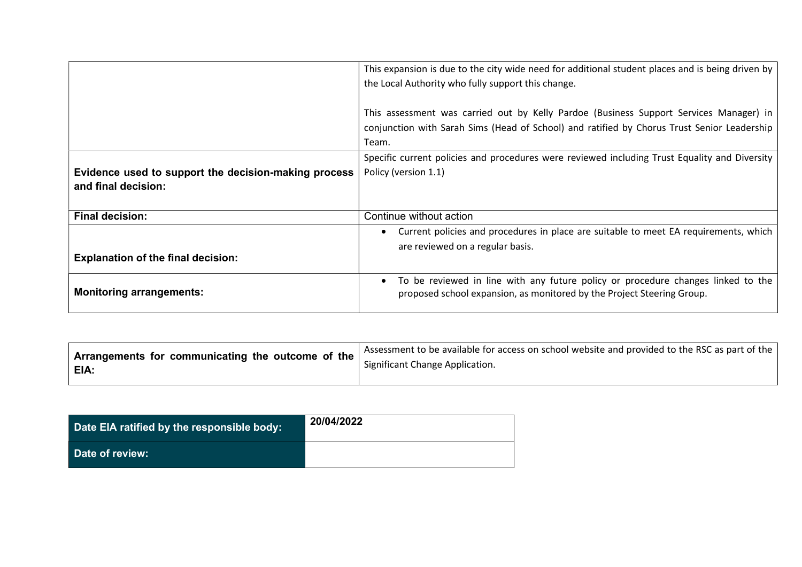|                                                                             | This expansion is due to the city wide need for additional student places and is being driven by<br>the Local Authority who fully support this change.                                         |
|-----------------------------------------------------------------------------|------------------------------------------------------------------------------------------------------------------------------------------------------------------------------------------------|
|                                                                             | This assessment was carried out by Kelly Pardoe (Business Support Services Manager) in<br>conjunction with Sarah Sims (Head of School) and ratified by Chorus Trust Senior Leadership<br>Team. |
|                                                                             | Specific current policies and procedures were reviewed including Trust Equality and Diversity                                                                                                  |
| Evidence used to support the decision-making process<br>and final decision: | Policy (version 1.1)                                                                                                                                                                           |
| <b>Final decision:</b>                                                      | Continue without action                                                                                                                                                                        |
|                                                                             | Current policies and procedures in place are suitable to meet EA requirements, which                                                                                                           |
| <b>Explanation of the final decision:</b>                                   | are reviewed on a regular basis.                                                                                                                                                               |
| <b>Monitoring arrangements:</b>                                             | To be reviewed in line with any future policy or procedure changes linked to the<br>proposed school expansion, as monitored by the Project Steering Group.                                     |

| Arrangements for communicating the outcome of the $ $<br><b>EIA:</b> | <sup>1</sup> Assessment to be available for access on school website and provided to the RSC as part of the $ $ |  |
|----------------------------------------------------------------------|-----------------------------------------------------------------------------------------------------------------|--|
|                                                                      | Significant Change Application.                                                                                 |  |
|                                                                      |                                                                                                                 |  |

| Date EIA ratified by the responsible body: | 20/04/2022 |
|--------------------------------------------|------------|
| Date of review:                            |            |